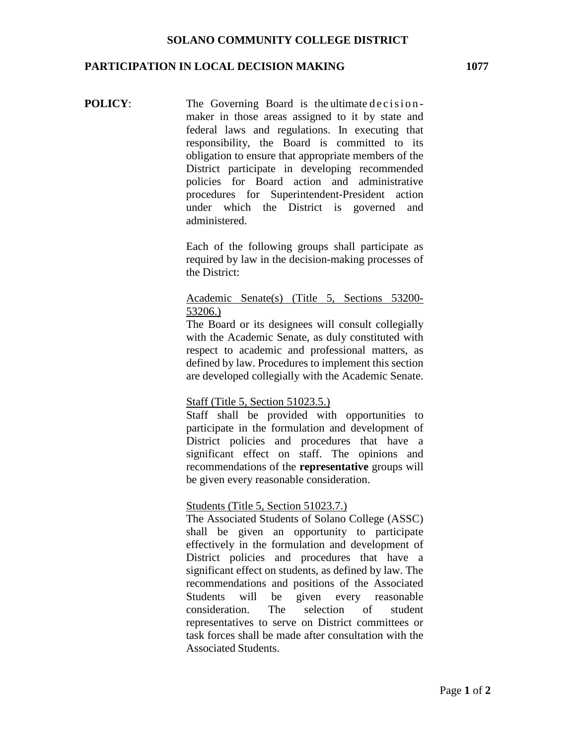#### **PARTICIPATION IN LOCAL DECISION MAKING 1077**

**POLICY:** The Governing Board is the ultimate decisionmaker in those areas assigned to it by state and federal laws and regulations. In executing that responsibility, the Board is committed to its obligation to ensure that appropriate members of the District participate in developing recommended policies for Board action and administrative procedures for Superintendent-President action under which the District is governed and administered.

> Each of the following groups shall participate as required by law in the decision-making processes of the District:

## Academic Senate(s) (Title 5, Sections 53200- 53206.)

The Board or its designees will consult collegially with the Academic Senate, as duly constituted with respect to academic and professional matters, as defined by law. Procedures to implement this section are developed collegially with the Academic Senate.

## Staff (Title 5, Section 51023.5.)

Staff shall be provided with opportunities to participate in the formulation and development of District policies and procedures that have a significant effect on staff. The opinions and recommendations of the **representative** groups will be given every reasonable consideration.

### Students (Title 5, Section 51023.7.)

The Associated Students of Solano College (ASSC) shall be given an opportunity to participate effectively in the formulation and development of District policies and procedures that have a significant effect on students, as defined by law. The recommendations and positions of the Associated Students will be given every reasonable consideration. The selection of student representatives to serve on District committees or task forces shall be made after consultation with the Associated Students.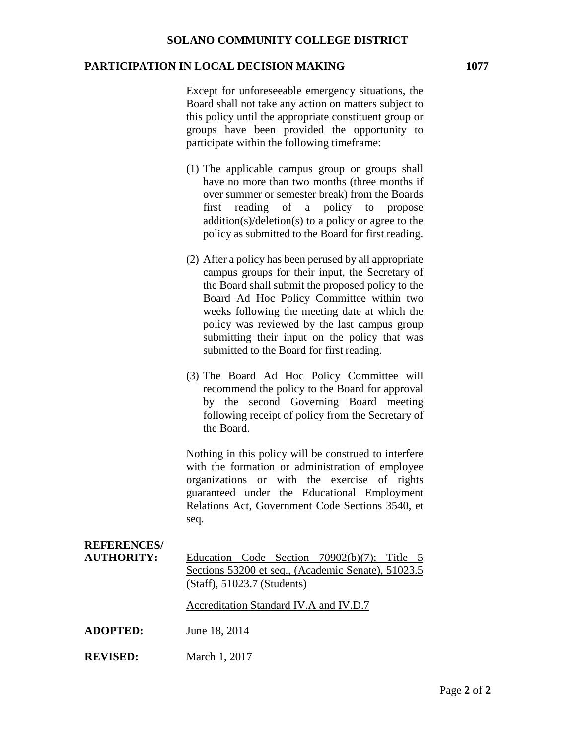### **PARTICIPATION IN LOCAL DECISION MAKING 1077**

Except for unforeseeable emergency situations, the Board shall not take any action on matters subject to this policy until the appropriate constituent group or groups have been provided the opportunity to participate within the following timeframe:

- (1) The applicable campus group or groups shall have no more than two months (three months if over summer or semester break) from the Boards first reading of a policy to propose addition(s)/deletion(s) to a policy or agree to the policy as submitted to the Board for first reading.
- (2) After a policy has been perused by all appropriate campus groups for their input, the Secretary of the Board shall submit the proposed policy to the Board Ad Hoc Policy Committee within two weeks following the meeting date at which the policy was reviewed by the last campus group submitting their input on the policy that was submitted to the Board for first reading.
- (3) The Board Ad Hoc Policy Committee will recommend the policy to the Board for approval by the second Governing Board meeting following receipt of policy from the Secretary of the Board.

Nothing in this policy will be construed to interfere with the formation or administration of employee organizations or with the exercise of rights guaranteed under the Educational Employment Relations Act, Government Code Sections 3540, et seq.

# **REFERENCES/**

**AUTHORITY:** Education Code Section 70902(b)(7); Title 5 Sections 53200 et seq., (Academic Senate), 51023.5 (Staff), 51023.7 (Students)

Accreditation Standard IV.A and IV.D.7

- **ADOPTED:** June 18, 2014
- **REVISED:** March 1, 2017